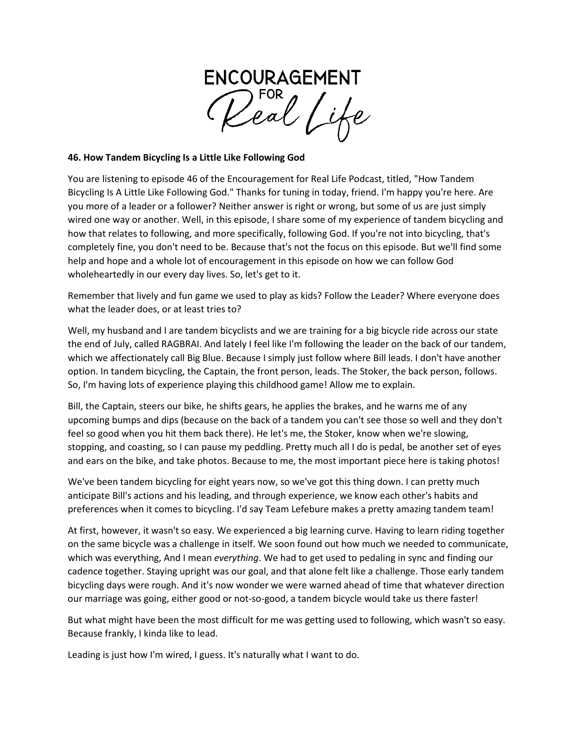

## **46. How Tandem Bicycling Is a Little Like Following God**

You are listening to episode 46 of the Encouragement for Real Life Podcast, titled, "How Tandem Bicycling Is A Little Like Following God." Thanks for tuning in today, friend. I'm happy you're here. Are you more of a leader or a follower? Neither answer is right or wrong, but some of us are just simply wired one way or another. Well, in this episode, I share some of my experience of tandem bicycling and how that relates to following, and more specifically, following God. If you're not into bicycling, that's completely fine, you don't need to be. Because that's not the focus on this episode. But we'll find some help and hope and a whole lot of encouragement in this episode on how we can follow God wholeheartedly in our every day lives. So, let's get to it.

Remember that lively and fun game we used to play as kids? Follow the Leader? Where everyone does what the leader does, or at least tries to?

Well, my husband and I are tandem bicyclists and we are training for a big bicycle ride across our state the end of July, called RAGBRAI. And lately I feel like I'm following the leader on the back of our tandem, which we affectionately call Big Blue. Because I simply just follow where Bill leads. I don't have another option. In tandem bicycling, the Captain, the front person, leads. The Stoker, the back person, follows. So, I'm having lots of experience playing this childhood game! Allow me to explain.

Bill, the Captain, steers our bike, he shifts gears, he applies the brakes, and he warns me of any upcoming bumps and dips (because on the back of a tandem you can't see those so well and they don't feel so good when you hit them back there). He let's me, the Stoker, know when we're slowing, stopping, and coasting, so I can pause my peddling. Pretty much all I do is pedal, be another set of eyes and ears on the bike, and take photos. Because to me, the most important piece here is taking photos!

We've been tandem bicycling for eight years now, so we've got this thing down. I can pretty much anticipate Bill's actions and his leading, and through experience, we know each other's habits and preferences when it comes to bicycling. I'd say Team Lefebure makes a pretty amazing tandem team!

At first, however, it wasn't so easy. We experienced a big learning curve. Having to learn riding together on the same bicycle was a challenge in itself. We soon found out how much we needed to communicate, which was everything, And I mean *everything*. We had to get used to pedaling in sync and finding our cadence together. Staying upright was our goal, and that alone felt like a challenge. Those early tandem bicycling days were rough. And it's now wonder we were warned ahead of time that whatever direction our marriage was going, either good or not-so-good, a tandem bicycle would take us there faster!

But what might have been the most difficult for me was getting used to following, which wasn't so easy. Because frankly, I kinda like to lead.

Leading is just how I'm wired, I guess. It's naturally what I want to do.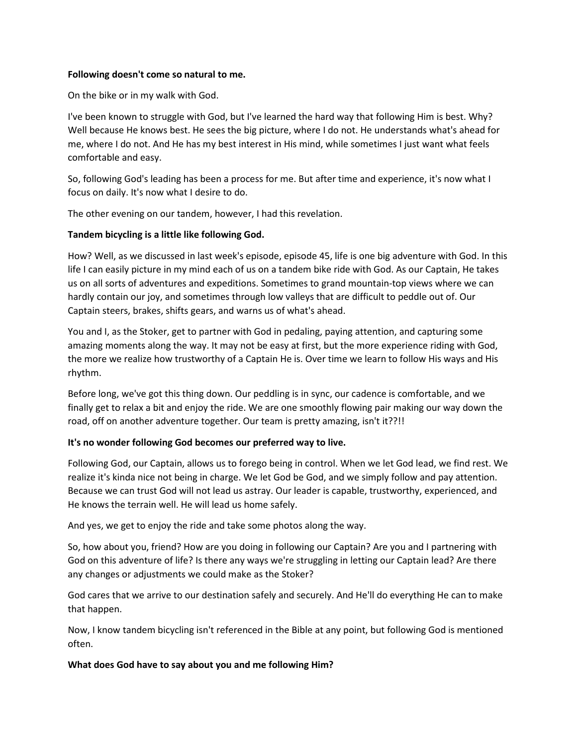## **Following doesn't come so natural to me.**

On the bike or in my walk with God.

I've been known to struggle with God, but I've learned the hard way that following Him is best. Why? Well because He knows best. He sees the big picture, where I do not. He understands what's ahead for me, where I do not. And He has my best interest in His mind, while sometimes I just want what feels comfortable and easy.

So, following God's leading has been a process for me. But after time and experience, it's now what I focus on daily. It's now what I desire to do.

The other evening on our tandem, however, I had this revelation.

# **Tandem bicycling is a little like following God.**

How? Well, as we discussed in last week's episode, episode 45, life is one big adventure with God. In this life I can easily picture in my mind each of us on a tandem bike ride with God. As our Captain, He takes us on all sorts of adventures and expeditions. Sometimes to grand mountain-top views where we can hardly contain our joy, and sometimes through low valleys that are difficult to peddle out of. Our Captain steers, brakes, shifts gears, and warns us of what's ahead.

You and I, as the Stoker, get to partner with God in pedaling, paying attention, and capturing some amazing moments along the way. It may not be easy at first, but the more experience riding with God, the more we realize how trustworthy of a Captain He is. Over time we learn to follow His ways and His rhythm.

Before long, we've got this thing down. Our peddling is in sync, our cadence is comfortable, and we finally get to relax a bit and enjoy the ride. We are one smoothly flowing pair making our way down the road, off on another adventure together. Our team is pretty amazing, isn't it??!!

## **It's no wonder following God becomes our preferred way to live.**

Following God, our Captain, allows us to forego being in control. When we let God lead, we find rest. We realize it's kinda nice not being in charge. We let God be God, and we simply follow and pay attention. Because we can trust God will not lead us astray. Our leader is capable, trustworthy, experienced, and He knows the terrain well. He will lead us home safely.

And yes, we get to enjoy the ride and take some photos along the way.

So, how about you, friend? How are you doing in following our Captain? Are you and I partnering with God on this adventure of life? Is there any ways we're struggling in letting our Captain lead? Are there any changes or adjustments we could make as the Stoker?

God cares that we arrive to our destination safely and securely. And He'll do everything He can to make that happen.

Now, I know tandem bicycling isn't referenced in the Bible at any point, but following God is mentioned often.

# **What does God have to say about you and me following Him?**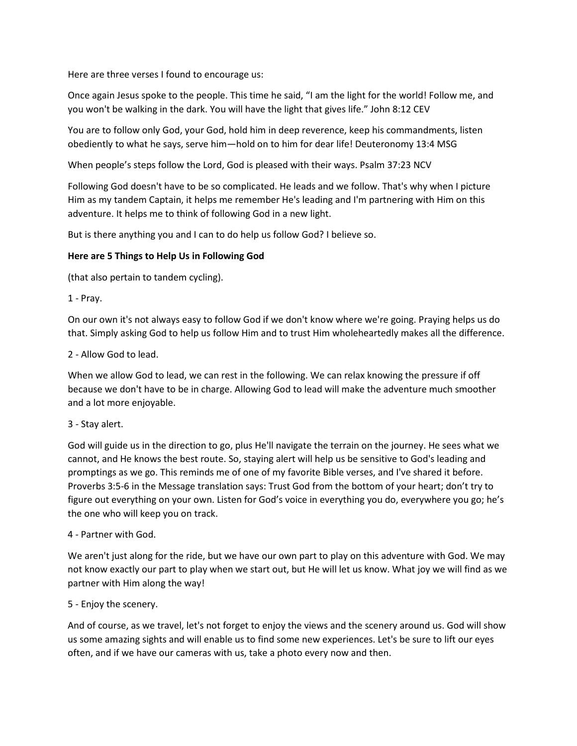Here are three verses I found to encourage us:

Once again Jesus spoke to the people. This time he said, "I am the light for the world! Follow me, and you won't be walking in the dark. You will have the light that gives life." John 8:12 CEV

You are to follow only God, your God, hold him in deep reverence, keep his commandments, listen obediently to what he says, serve him—hold on to him for dear life! Deuteronomy 13:4 MSG

When people's steps follow the Lord, God is pleased with their ways. Psalm 37:23 NCV

Following God doesn't have to be so complicated. He leads and we follow. That's why when I picture Him as my tandem Captain, it helps me remember He's leading and I'm partnering with Him on this adventure. It helps me to think of following God in a new light.

But is there anything you and I can to do help us follow God? I believe so.

## **Here are 5 Things to Help Us in Following God**

(that also pertain to tandem cycling).

1 - Pray.

On our own it's not always easy to follow God if we don't know where we're going. Praying helps us do that. Simply asking God to help us follow Him and to trust Him wholeheartedly makes all the difference.

## 2 - Allow God to lead.

When we allow God to lead, we can rest in the following. We can relax knowing the pressure if off because we don't have to be in charge. Allowing God to lead will make the adventure much smoother and a lot more enjoyable.

#### 3 - Stay alert.

God will guide us in the direction to go, plus He'll navigate the terrain on the journey. He sees what we cannot, and He knows the best route. So, staying alert will help us be sensitive to God's leading and promptings as we go. This reminds me of one of my favorite Bible verses, and I've shared it before. Proverbs 3:5-6 in the Message translation says: Trust God from the bottom of your heart; don't try to figure out everything on your own. Listen for God's voice in everything you do, everywhere you go; he's the one who will keep you on track.

#### 4 - Partner with God.

We aren't just along for the ride, but we have our own part to play on this adventure with God. We may not know exactly our part to play when we start out, but He will let us know. What joy we will find as we partner with Him along the way!

#### 5 - Enjoy the scenery.

And of course, as we travel, let's not forget to enjoy the views and the scenery around us. God will show us some amazing sights and will enable us to find some new experiences. Let's be sure to lift our eyes often, and if we have our cameras with us, take a photo every now and then.